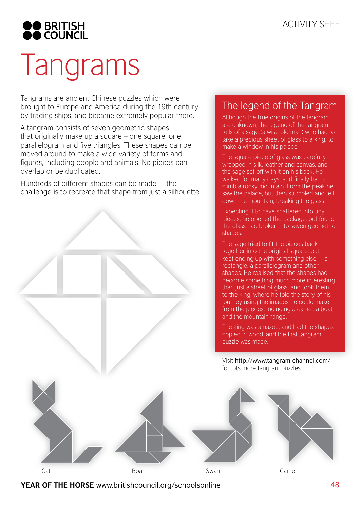

# Tangrams

Tangrams are ancient Chinese puzzles which were brought to Europe and America during the 19th century by trading ships, and became extremely popular there.

A tangram consists of seven geometric shapes that originally make up a square – one square, one parallelogram and five triangles. These shapes can be moved around to make a wide variety of forms and figures, including people and animals. No pieces can overlap or be duplicated.

Hundreds of different shapes can be made — the challenge is to recreate that shape from just a silhouette.



### The legend of the Tangram

Although the true origins of the tangram are unknown, the legend of the tangram tells of a sage (a wise old man) who had to take a precious sheet of glass to a king, to make a window in his palace.

The square piece of glass was carefully wrapped in silk, leather and canvas, and the sage set off with it on his back. He walked for many days, and finally had to climb a rocky mountain. From the peak he saw the palace, but then stumbled and fell down the mountain, breaking the glass.

Expecting it to have shattered into tiny pieces, he opened the package, but found the glass had broken into seven geometric shapes.

The sage tried to fit the pieces back together into the original square, but kept ending up with something else — a rectangle, a parallelogram and other shapes. He realised that the shapes had become something much more interesting than just a sheet of glass, and took them to the king, where he told the story of his journey using the images he could make from the pieces, including a camel, a boat and the mountain range.

The king was amazed, and had the shapes copied in wood, and the first tangram puzzle was made.

Visit http://www.tangram-channel.com/ for lots more tangram puzzles

Cat Boat Swan Camel

#### **YEAR OF THE HORSE** www.britishcouncil.org/schoolsonline 48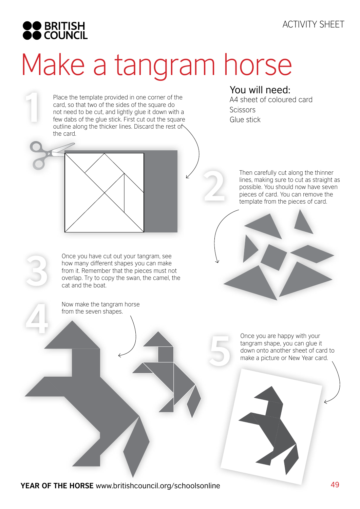

**1**

# Make a tangram horse

Place the template provided in one corner of the card, so that two of the sides of the square do not need to be cut, and lightly glue it down with a few dabs of the glue stick. First cut out the square outline along the thicker lines. Discard the rest of the card.

You will need: A4 sheet of coloured card Scissors Glue stick



Once you have cut out your tangram, see how many different shapes you can make from it. Remember that the pieces must not overlap. Try to copy the swan, the camel, the cat and the boat.

Now make the tangram horse from the seven shapes. **4**

Then carefully cut along the thinner lines, making sure to cut as straight as possible. You should now have seven **Phencarefully cut along the thinner**<br>lines, making sure to cut as straight<br>possible. You should now have seve<br>pieces of card. You can remove the<br>template from the pieces of card.

> Once you are happy with your tangram shape, you can glue it down onto another sheet of card to **5** make a picture or New Year card.

**YEAR OF THE HORSE** www.britishcouncil.org/schoolsonline